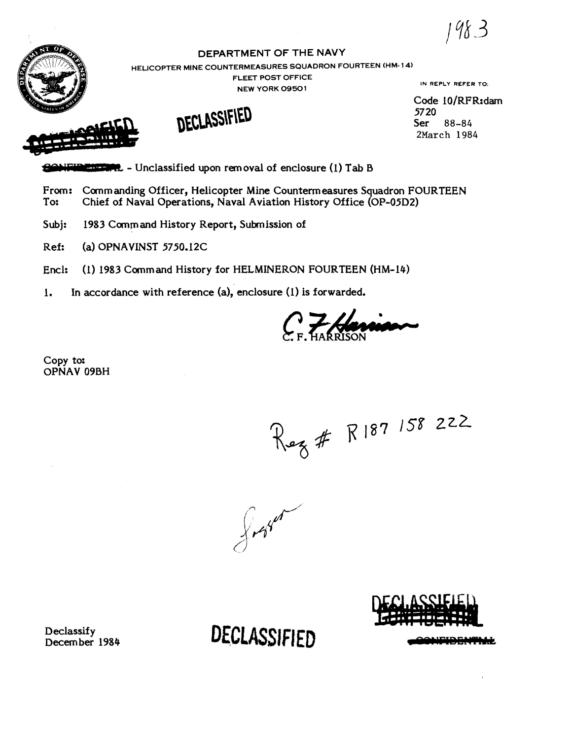**i** 



# **DEPARTMENT OF THE NAVY**

**HELICOPTER MINE COUNTERMEASURES SQUADRON FOURTEEN (HM- 14)** 

**FLEET POST OFFICE NEW YORK 09501** IN **REPLY REFER TO.** 

Code 10/RFR:dam 57 20 Ser 88-84 2March 1984

FLEET POST OFFICE<br>
NEW YORK 09501<br>
NECLASSIFIED<br>
SONFIDED: LOCAL DECLASSIFIED<br>
From: Commanding Officer, Helicopter Mine Countermeasures Squ

From: Commanding Officer, Helicopter Mine Countermeasures Squadron FOURTEEN<br>To: Chief of Naval Operations. Naval Aviation History Office (OP-05D2) Chief of Naval Operations, Naval Aviation History Office (OP-05D2)

Subj: 1983 Command History Report, Submission of

Ref: **(a)** OPNAVINST 5750.12C

**Encl:** (1) 1983 Command History for HELMINERON FOURTEEN (HM-14)

1. In accordance with reference **(a),** enclosure (1) is forwarded.

 $\frac{7}{4}$ 

Copy to: OPNAV 09BH

Rez # R187 158 222

fort of

Declassify Decern ber 1984 DECLASSIFIED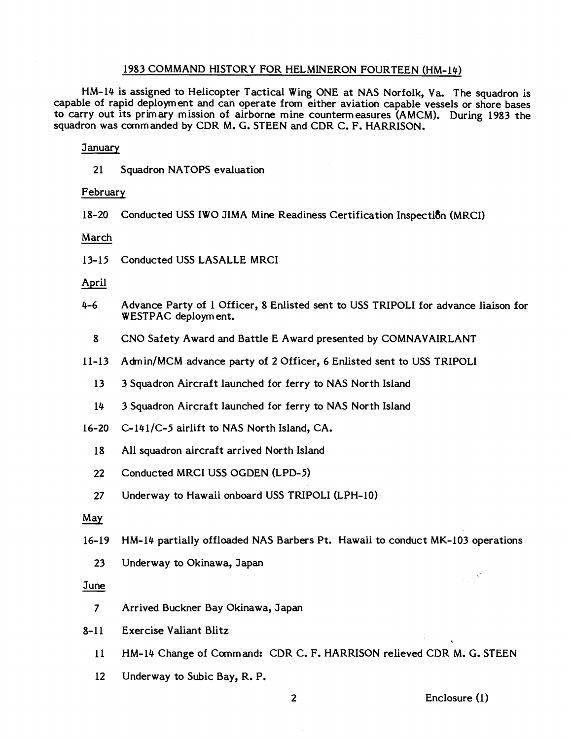### 1983 COMMAND HISTORY FOR HELMINERON FOURTEEN (HM-14)

HM-14 is assigned to Helicopter Tactical Wing ONE at NAS Norfolk, Va. The squadron is capable of rapid deployment and can operate from either aviation capable vessels or shore bases to carry out its primary mission of airborne mine countermeasures (AMCM). During 1983 the squadron was commanded by CDR M. G. STEEN and CDR C. F. HARRISON.

#### **January**

21 Squadron NATOPS evaluation

### February

18-20 Conducted USS IWO JIMA Mine Readiness Certification 1nspecti8n (MRCI)

### March

13-15 Conducted USS LASALLE MRCI

### April

- 4-6 Advance Party of 1 Officer, 8 Enlisted sent to USS TRIPOLI for advance liaison for WESTPAC deployment.
	- 8 CNO Safety Award and Battle E Award presented by COMNAVAIRLANT
- 11-13 Admin/MCM advance party of 2 Officer, 6 Enlisted sent to USS TRIPOLI
	- 13 3 Squadron Aircraft launched for ferry to NAS North Island
	- 14 3 Squadron Aircraft launched for ferry to NAS North Island
- 16-20 C-141/C-5 airlift to NAS North Island, CA.
	- 18 All squadron aircraft arrived North Island
	- 22 Conducted MRCI USS OGDEN (LPD-5)
	- 27 Underway to Hawaii onboard USS TRIPOLI (LPH-10)

### *May*

- 16-19 HM-14 partially offloaded NAS Barbers Pt. Hawaii to conduct MK-103 operations
	- 23 Underway to Okinawa, Japan

#### June

- 7 Arrived Buckner Bay Okinawa, Japan
- 8-11 Exercise Valiant Blitz
	- 11 HM-14 Change of Command: CDR C. F. HARRISON relieved CDR M. G. STEEN
	- 12 Underway to Subic Bay, R. P.

### 2 Enclosure (I)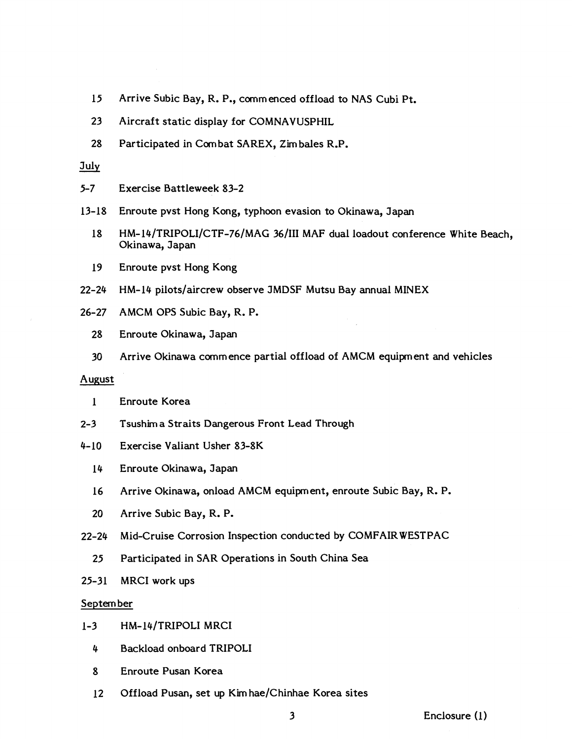- 15 Arrive Subic Bay, R. P., commenced offload to NAS Cubi Pt.
- 23 Aircraft static display for COMNAVUSPHIL
- 28 Participated in Combat SAREX, Zimbales R.P.<br>July

- 5-7 Exercise Battleweek 83-2
- 13-18 Enroute pvst Hong Kong, typhoon evasion to Okinawa, Japan
	- 18 HM-14/TRIPOLI/CTF-76/MAG 36/III MAF dual loadout conference White Beach, Okinawa, Japan
	- 19 Enroute pvst Hong Kong
- 22-24 HM-14 pilots/aircrew observe JMDSF Mutsu Bay annual MINEX
- 26-27 AMCM OPS Subic Bay, R. P.
	- 28 Enroute Okinawa, Japan
	- 30 Arrive Okinawa commence partial offload of AMCM equipment and vehicles

### August

- 1 Enroute Korea
- 2-3 Tsushim a Straits Dangerous Front Lead Through
- 4-10 Exercise Valiant Usher 83-8K
	- 14 Enroute Okinawa, Japan
	- 16 Arrive Okinawa, onload AMCM equipment, enroute Subic Bay, R. P.
	- 20 Arrive Subic Bay, R. P.
- 22-24 Mid-Cruise Corrosion Inspection conducted by COMFAIRWESTPAC
	- 25 Participated in SAR Operations in South China Sea
- 25-31 MRCI work ups

### September

- 1-3 HM-14JTRIPOLI MRCI
	- 4 Backload onboard TRIPOLI
	- 8 Enroute Pusan Korea
	- 12 Offload Pusan, set up Kim hae/Chinhae Korea sites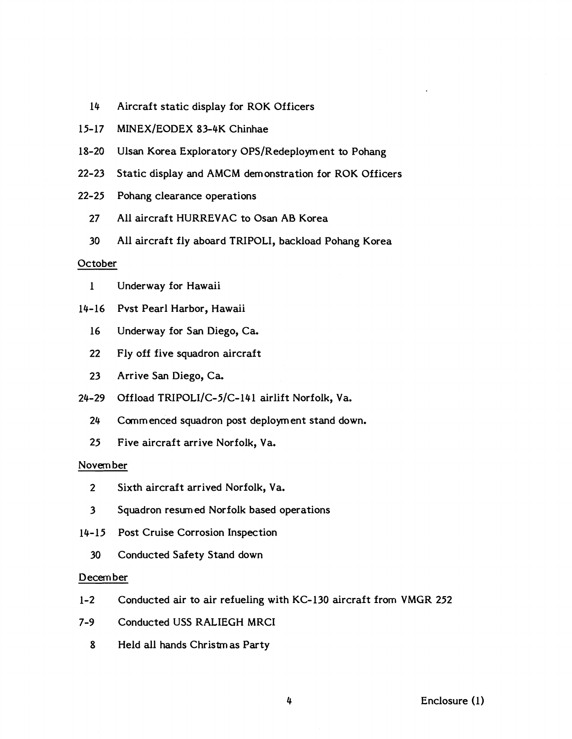- 14 Aircraft static display for ROK Officers
- 15-17 MINEX/EODEX 83-4K Chinhae
- 18-20 Ulsan Korea Exploratory OPS/Redeployment to Pohang
- 22-23 Static display and AMCM demonstration for ROK Officers
- 22-25 Pohang clearance operations
	- 27 All aircraft HURREVAC to Osan AB Korea
	- 30 All aircraft fly aboard TRIPOLI, backload Pohang Korea

## **October**

- 1 Underway for Hawaii
- 14-16 Pvst Pearl Harbor, Hawaii
	- 16 Underway for San Diego, Ca.
	- 22 Fly off five squadron aircraft
	- 23 Arrive San Diego, Ca.
- 24-29 Offload TRIPOLI/C-5/C-141 airlift Norfolk, Va.
	- 24 Commenced squadron post deployment stand down.
	- 25 Five aircraft arrive Norfolk, Va.

### Novern ber

- 2 Sixth aircraft arrived Norfolk, Va.
- 3 Squadron resurn ed Norfolk based operations
- 14-15 Post Cruise Corrosion Inspection
	- 30 Conducted Safety Stand down

### December

- 1-2 Conducted air to air refueling with KC-130 aircraft from VMGR 252
- 7-9 Conducted USS RALIEGH MRCI
	- 8 Held all hands Christmas Party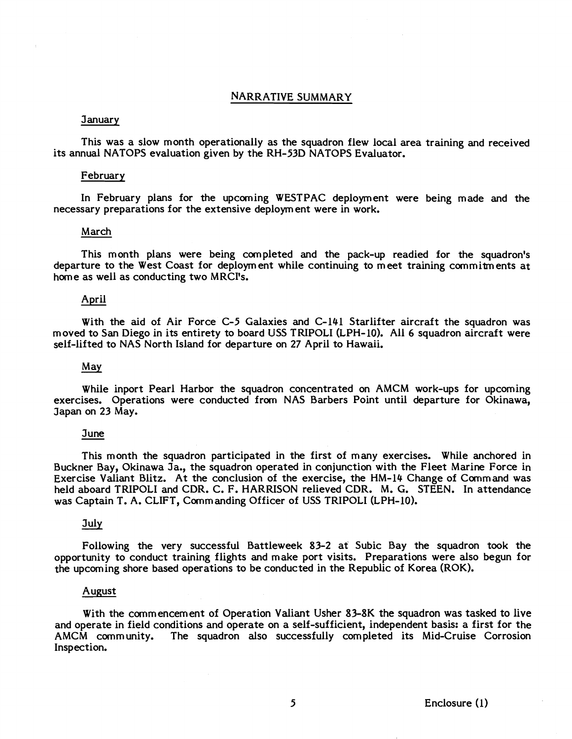### NARRATIVE SUMMARY

### January

This was a slow month operationally as the squadron flew local area training and received its annual NATOPS evaluation given by the RH-53D NATOPS Evaluator.

#### February

In February plans for the upcoming WESTPAC deployment were being made and the necessary preparations for the extensive deployment were in work.

#### March

This month plans were being completed and the pack-up readied for the squadron's departure to the West Coast for deployment while continuing to meet training commitments at home as well as conducting two MRCI's.

#### April

With the aid of Air Force C-5 Galaxies and C-141 Starlifter aircraft the squadron was moved to San Diego in its entirety to board USS TRIPOLI (LPH-10). All 6 squadron aircraft were self-lifted to NAS North Island for departure on 27 April to Hawaii.

#### *May*

While inport Pearl Harbor the squadron concentrated on AMCM work-ups for upcoming exercises. Operations were conducted from NAS Barbers Point until departure for Okinawa, Japan on 23 May.

#### 3 une

This month the squadron participated in the first of many exercises. While anchored in Buckner Bay, Okinawa Ja., the squadron operated in conjunction with the Fleet Marine Force in Exercise Valiant Blitz. At the conclusion of the exercise, the HM-14 Change of Command was held aboard TRIPOLI and CDR. C. F. HARRISON relieved CDR. M. G. STEEN. In attendance was Captain T. A. CLIFT, Commanding Officer of USS TRIPOLI (LPH-10).

### **July**

Following the very successful Battleweek 83-2 at Subic Bay the squadron took the opportunity to conduct training flights and make port visits. Preparations were also begun for the upcoming shore based operations to be conducted in the Republic of Korea (ROK).

#### August

With the commencement of Operation Valiant Usher **83-8K** the squadron was tasked to live and operate in field conditions and operate on a self-sufficient, independent basis: a first for the AMCM community. The squadron also successfully completed its Mid-Cruise Corrosion Inspection.